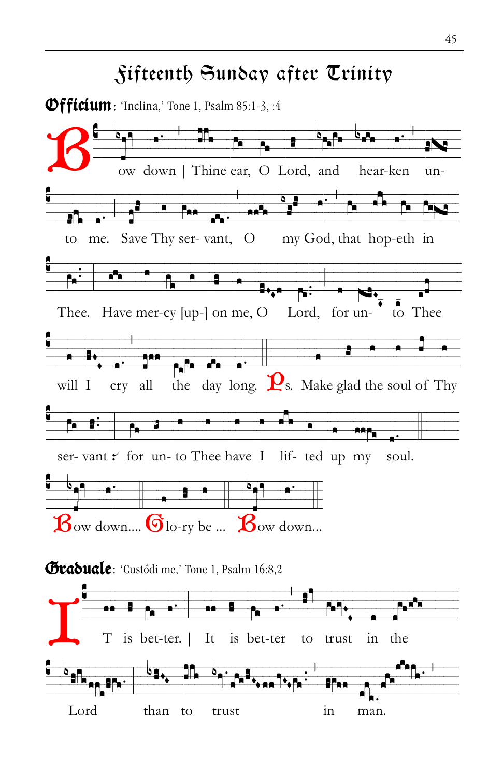

Lord than to trust in man.

## Fifteenth Sunday after Trinity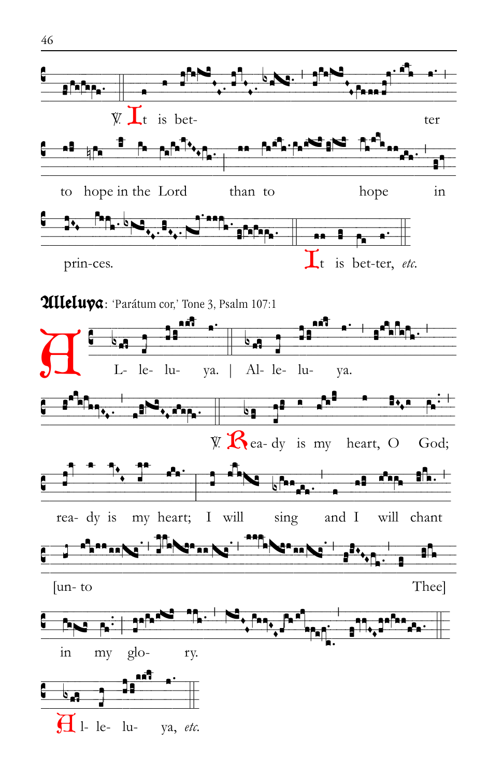



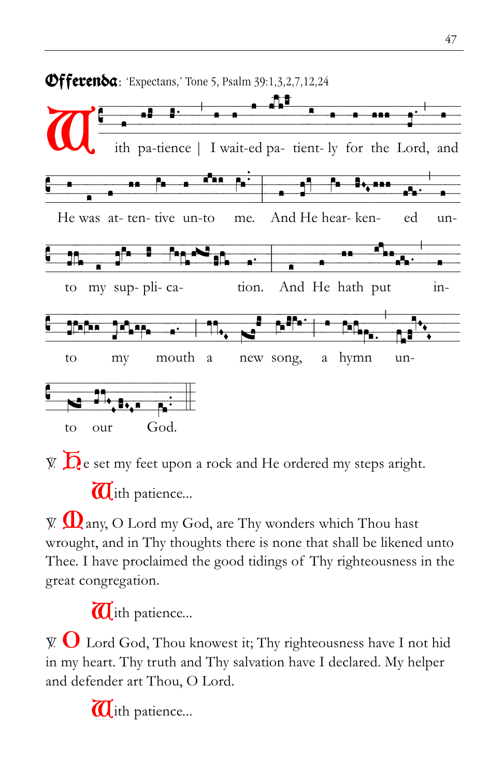

 $\bar{Y}$ .  $\bar{D}$  e set my feet upon a rock and He ordered my steps aright.

 $\overline{\mathbf{U}}$ ith patience...

 $\mathbb{W}$   $\Omega$  any, O Lord my God, are Thy wonders which Thou hast wrought, and in Thy thoughts there is none that shall be likened unto Thee. I have proclaimed the good tidings of Thy righteousness in the great congregation.

 $\overline{a}$ ith patience...

 $\mathbb{V}$   $\mathbf{O}$  Lord God, Thou knowest it; Thy righteousness have I not hid in my heart. Thy truth and Thy salvation have I declared. My helper and defender art Thou, O Lord.

 $\overline{a}$ ith patience...